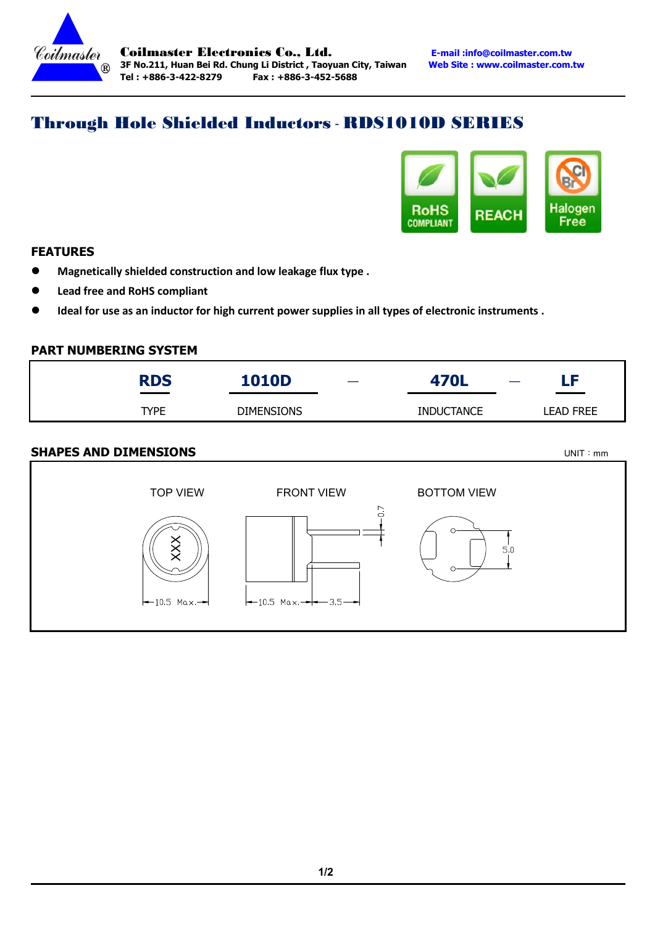

# Through Hole Shielded Inductors - RDS1010D SERIES



## FEATURES

Magnetically shielded construction and low leakage flux type .

 $\overline{a}$ 

- Lead free and RoHS compliant
- Ideal for use as an inductor for high current power supplies in all types of electronic instruments .

#### PART NUMBERING SYSTEM

| <b>RDS</b><br>______ | <b>1010D</b>      | 470L              | $\overline{\phantom{0}}$ | LF               |
|----------------------|-------------------|-------------------|--------------------------|------------------|
| <b>TYPE</b>          | <b>DIMENSIONS</b> | <b>INDUCTANCE</b> |                          | <b>LEAD FREE</b> |
|                      |                   |                   |                          |                  |